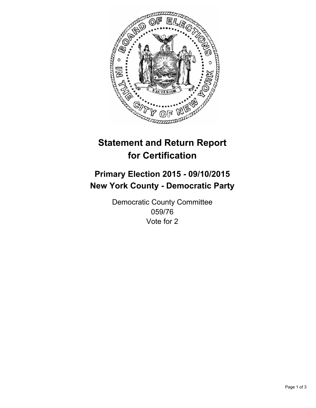

# **Statement and Return Report for Certification**

## **Primary Election 2015 - 09/10/2015 New York County - Democratic Party**

Democratic County Committee 059/76 Vote for 2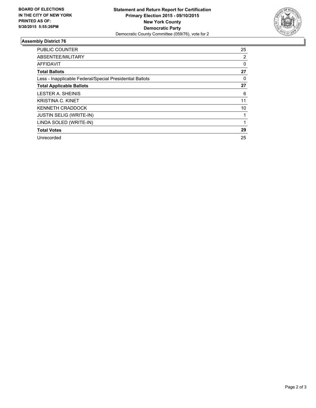

### **Assembly District 76**

| <b>PUBLIC COUNTER</b>                                    | 25       |
|----------------------------------------------------------|----------|
| ABSENTEE/MILITARY                                        | 2        |
| <b>AFFIDAVIT</b>                                         | $\Omega$ |
| <b>Total Ballots</b>                                     | 27       |
| Less - Inapplicable Federal/Special Presidential Ballots | 0        |
| <b>Total Applicable Ballots</b>                          | 27       |
| LESTER A. SHEINIS                                        | 6        |
| <b>KRISTINA C. KINET</b>                                 | 11       |
| <b>KENNETH CRADDOCK</b>                                  | 10       |
| JUSTIN SELIG (WRITE-IN)                                  |          |
| LINDA SOLED (WRITE-IN)                                   |          |
| <b>Total Votes</b>                                       | 29       |
| Unrecorded                                               | 25       |